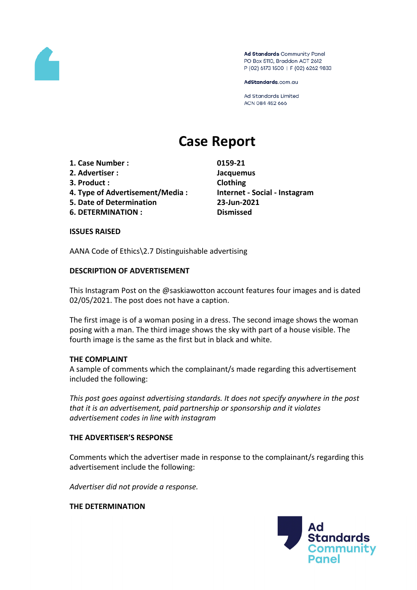

Ad Standards Community Panel PO Box 5110, Braddon ACT 2612 P (02) 6173 1500 | F (02) 6262 9833

AdStandards.com.au

**Ad Standards Limited** ACN 084 452 666

# **Case Report**

- **1. Case Number : 0159-21**
- **2. Advertiser : Jacquemus**
- **3. Product : Clothing**
- **4. Type of Advertisement/Media : Internet - Social - Instagram**
- **5. Date of Determination 23-Jun-2021**
- **6. DETERMINATION : Dismissed**

#### **ISSUES RAISED**

AANA Code of Ethics\2.7 Distinguishable advertising

## **DESCRIPTION OF ADVERTISEMENT**

This Instagram Post on the @saskiawotton account features four images and is dated 02/05/2021. The post does not have a caption.

The first image is of a woman posing in a dress. The second image shows the woman posing with a man. The third image shows the sky with part of a house visible. The fourth image is the same as the first but in black and white.

### **THE COMPLAINT**

A sample of comments which the complainant/s made regarding this advertisement included the following:

*This post goes against advertising standards. It does not specify anywhere in the post that it is an advertisement, paid partnership or sponsorship and it violates advertisement codes in line with instagram* 

### **THE ADVERTISER'S RESPONSE**

Comments which the advertiser made in response to the complainant/s regarding this advertisement include the following:

*Advertiser did not provide a response.*

**THE DETERMINATION**

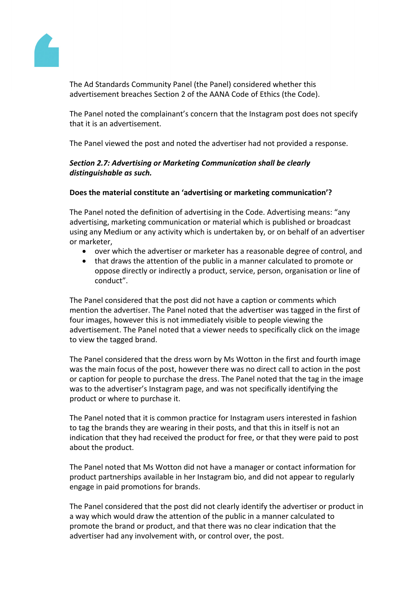

The Ad Standards Community Panel (the Panel) considered whether this advertisement breaches Section 2 of the AANA Code of Ethics (the Code).

The Panel noted the complainant's concern that the Instagram post does not specify that it is an advertisement.

The Panel viewed the post and noted the advertiser had not provided a response.

## *Section 2.7: Advertising or Marketing Communication shall be clearly distinguishable as such.*

## **Does the material constitute an 'advertising or marketing communication'?**

The Panel noted the definition of advertising in the Code. Advertising means: "any advertising, marketing communication or material which is published or broadcast using any Medium or any activity which is undertaken by, or on behalf of an advertiser or marketer,

- over which the advertiser or marketer has a reasonable degree of control, and
- that draws the attention of the public in a manner calculated to promote or oppose directly or indirectly a product, service, person, organisation or line of conduct".

The Panel considered that the post did not have a caption or comments which mention the advertiser. The Panel noted that the advertiser was tagged in the first of four images, however this is not immediately visible to people viewing the advertisement. The Panel noted that a viewer needs to specifically click on the image to view the tagged brand.

The Panel considered that the dress worn by Ms Wotton in the first and fourth image was the main focus of the post, however there was no direct call to action in the post or caption for people to purchase the dress. The Panel noted that the tag in the image was to the advertiser's Instagram page, and was not specifically identifying the product or where to purchase it.

The Panel noted that it is common practice for Instagram users interested in fashion to tag the brands they are wearing in their posts, and that this in itself is not an indication that they had received the product for free, or that they were paid to post about the product.

The Panel noted that Ms Wotton did not have a manager or contact information for product partnerships available in her Instagram bio, and did not appear to regularly engage in paid promotions for brands.

The Panel considered that the post did not clearly identify the advertiser or product in a way which would draw the attention of the public in a manner calculated to promote the brand or product, and that there was no clear indication that the advertiser had any involvement with, or control over, the post.